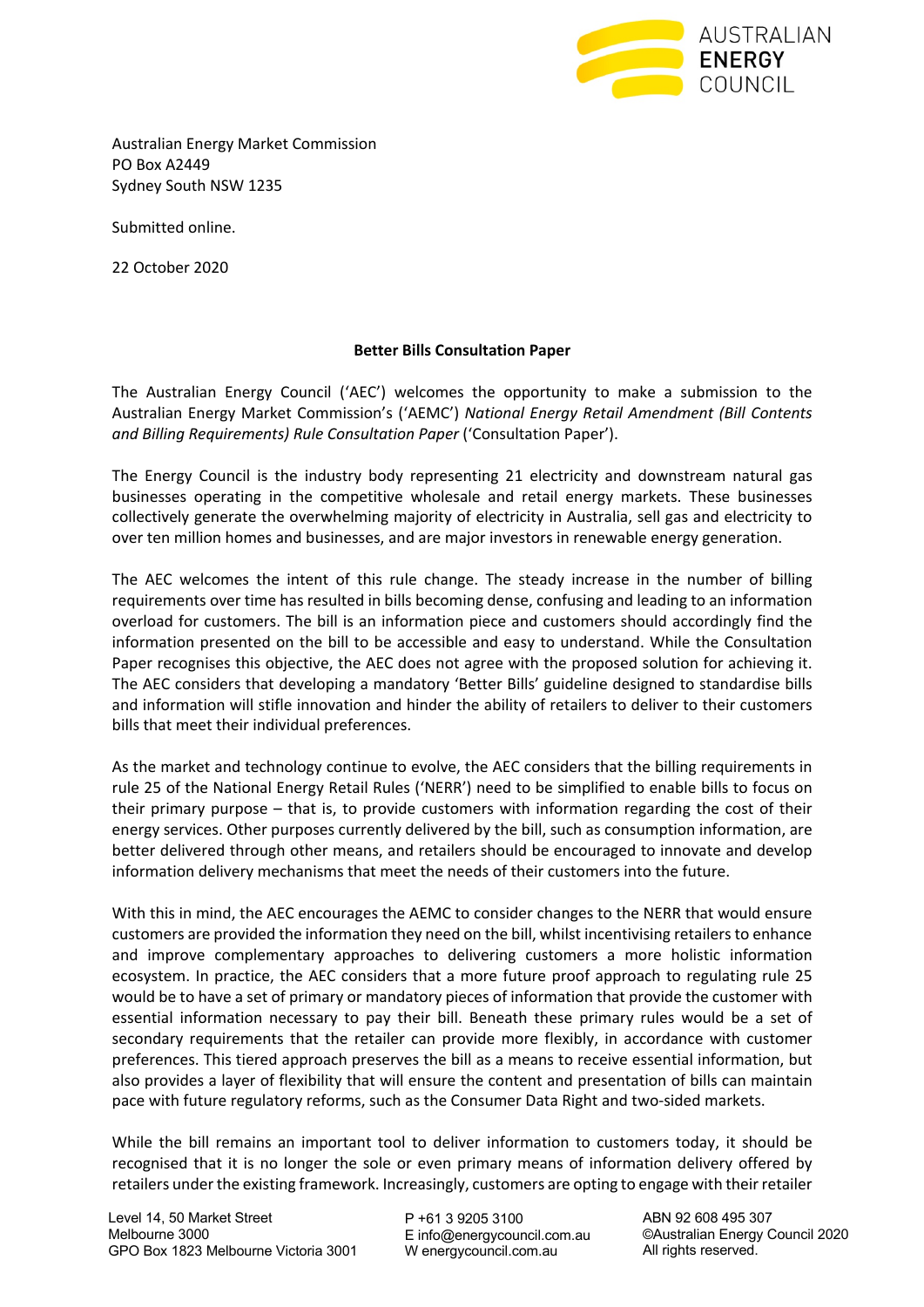

Australian Energy Market Commission PO Box A2449 Sydney South NSW 1235

Submitted online.

22 October 2020

#### **Better Bills Consultation Paper**

The Australian Energy Council ('AEC') welcomes the opportunity to make a submission to the Australian Energy Market Commission's ('AEMC') *National Energy Retail Amendment (Bill Contents and Billing Requirements) Rule Consultation Paper* ('Consultation Paper').

The Energy Council is the industry body representing 21 electricity and downstream natural gas businesses operating in the competitive wholesale and retail energy markets. These businesses collectively generate the overwhelming majority of electricity in Australia, sell gas and electricity to over ten million homes and businesses, and are major investors in renewable energy generation.

The AEC welcomes the intent of this rule change. The steady increase in the number of billing requirements over time has resulted in bills becoming dense, confusing and leading to an information overload for customers. The bill is an information piece and customers should accordingly find the information presented on the bill to be accessible and easy to understand. While the Consultation Paper recognises this objective, the AEC does not agree with the proposed solution for achieving it. The AEC considers that developing a mandatory 'Better Bills' guideline designed to standardise bills and information will stifle innovation and hinder the ability of retailers to deliver to their customers bills that meet their individual preferences.

As the market and technology continue to evolve, the AEC considers that the billing requirements in rule 25 of the National Energy Retail Rules ('NERR') need to be simplified to enable bills to focus on their primary purpose – that is, to provide customers with information regarding the cost of their energy services. Other purposes currently delivered by the bill, such as consumption information, are better delivered through other means, and retailers should be encouraged to innovate and develop information delivery mechanisms that meet the needs of their customers into the future.

With this in mind, the AEC encourages the AEMC to consider changes to the NERR that would ensure customers are provided the information they need on the bill, whilst incentivising retailers to enhance and improve complementary approaches to delivering customers a more holistic information ecosystem. In practice, the AEC considers that a more future proof approach to regulating rule 25 would be to have a set of primary or mandatory pieces of information that provide the customer with essential information necessary to pay their bill. Beneath these primary rules would be a set of secondary requirements that the retailer can provide more flexibly, in accordance with customer preferences. This tiered approach preserves the bill as a means to receive essential information, but also provides a layer of flexibility that will ensure the content and presentation of bills can maintain pace with future regulatory reforms, such as the Consumer Data Right and two-sided markets.

While the bill remains an important tool to deliver information to customers today, it should be recognised that it is no longer the sole or even primary means of information delivery offered by retailers under the existing framework. Increasingly, customers are opting to engage with their retailer

Level 14, 50 Market Street Melbourne 3000 GPO Box 1823 Melbourne Victoria 3001 P +61 3 9205 3100 E info@energycouncil.com.au W energycouncil.com.au

ABN 92 608 495 307 ©Australian Energy Council 2020 All rights reserved.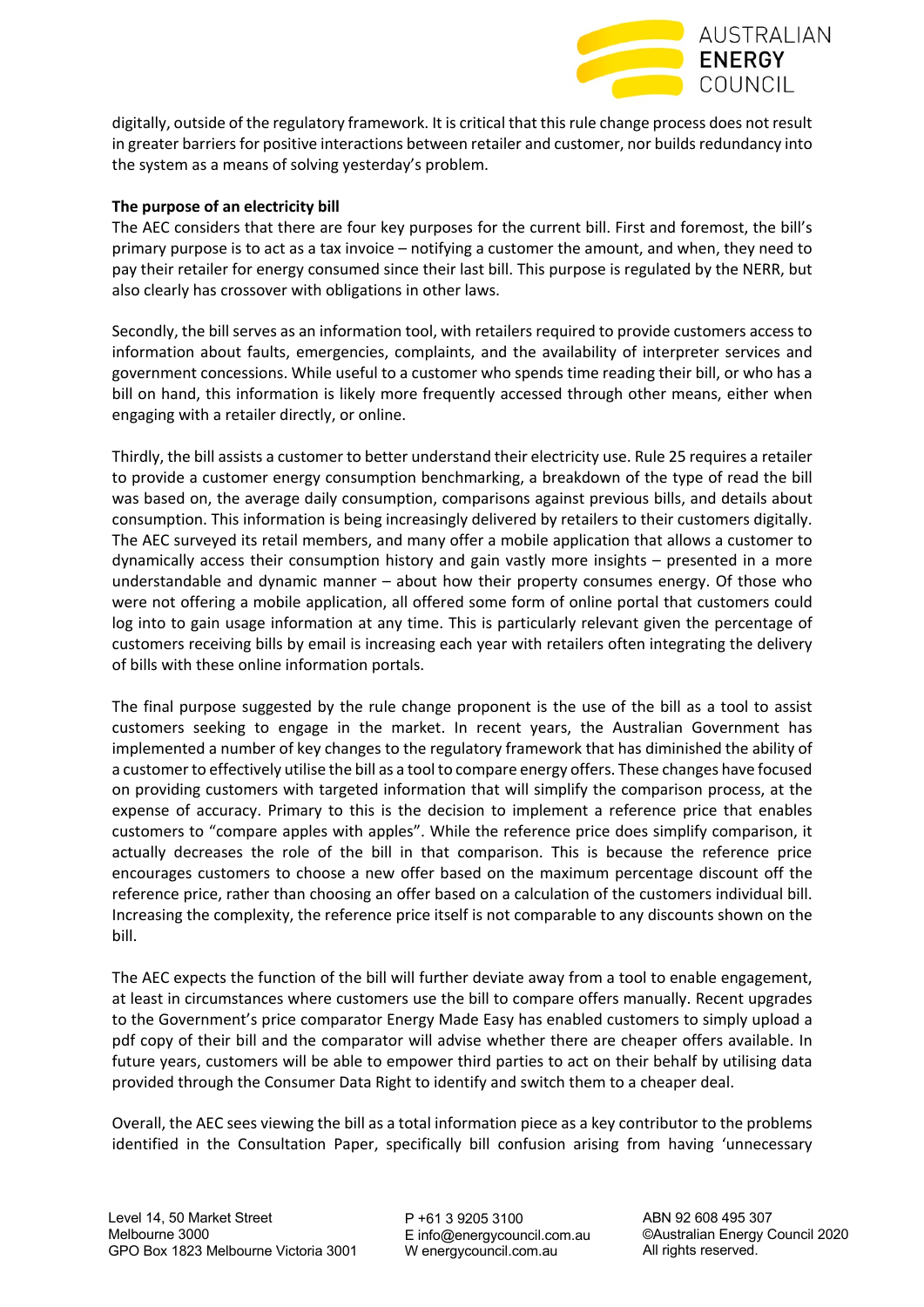

digitally, outside of the regulatory framework. It is critical that this rule change process does not result in greater barriers for positive interactions between retailer and customer, nor builds redundancy into the system as a means of solving yesterday's problem.

# **The purpose of an electricity bill**

The AEC considers that there are four key purposes for the current bill. First and foremost, the bill's primary purpose is to act as a tax invoice – notifying a customer the amount, and when, they need to pay their retailer for energy consumed since their last bill. This purpose is regulated by the NERR, but also clearly has crossover with obligations in other laws.

Secondly, the bill serves as an information tool, with retailers required to provide customers access to information about faults, emergencies, complaints, and the availability of interpreter services and government concessions. While useful to a customer who spends time reading their bill, or who has a bill on hand, this information is likely more frequently accessed through other means, either when engaging with a retailer directly, or online.

Thirdly, the bill assists a customer to better understand their electricity use. Rule 25 requires a retailer to provide a customer energy consumption benchmarking, a breakdown of the type of read the bill was based on, the average daily consumption, comparisons against previous bills, and details about consumption. This information is being increasingly delivered by retailers to their customers digitally. The AEC surveyed its retail members, and many offer a mobile application that allows a customer to dynamically access their consumption history and gain vastly more insights – presented in a more understandable and dynamic manner – about how their property consumes energy. Of those who were not offering a mobile application, all offered some form of online portal that customers could log into to gain usage information at any time. This is particularly relevant given the percentage of customers receiving bills by email is increasing each year with retailers often integrating the delivery of bills with these online information portals.

The final purpose suggested by the rule change proponent is the use of the bill as a tool to assist customers seeking to engage in the market. In recent years, the Australian Government has implemented a number of key changes to the regulatory framework that has diminished the ability of a customer to effectively utilise the bill as a tool to compare energy offers. These changes have focused on providing customers with targeted information that will simplify the comparison process, at the expense of accuracy. Primary to this is the decision to implement a reference price that enables customers to "compare apples with apples". While the reference price does simplify comparison, it actually decreases the role of the bill in that comparison. This is because the reference price encourages customers to choose a new offer based on the maximum percentage discount off the reference price, rather than choosing an offer based on a calculation of the customers individual bill. Increasing the complexity, the reference price itself is not comparable to any discounts shown on the bill.

The AEC expects the function of the bill will further deviate away from a tool to enable engagement, at least in circumstances where customers use the bill to compare offers manually. Recent upgrades to the Government's price comparator Energy Made Easy has enabled customers to simply upload a pdf copy of their bill and the comparator will advise whether there are cheaper offers available. In future years, customers will be able to empower third parties to act on their behalf by utilising data provided through the Consumer Data Right to identify and switch them to a cheaper deal.

Overall, the AEC sees viewing the bill as a total information piece as a key contributor to the problems identified in the Consultation Paper, specifically bill confusion arising from having 'unnecessary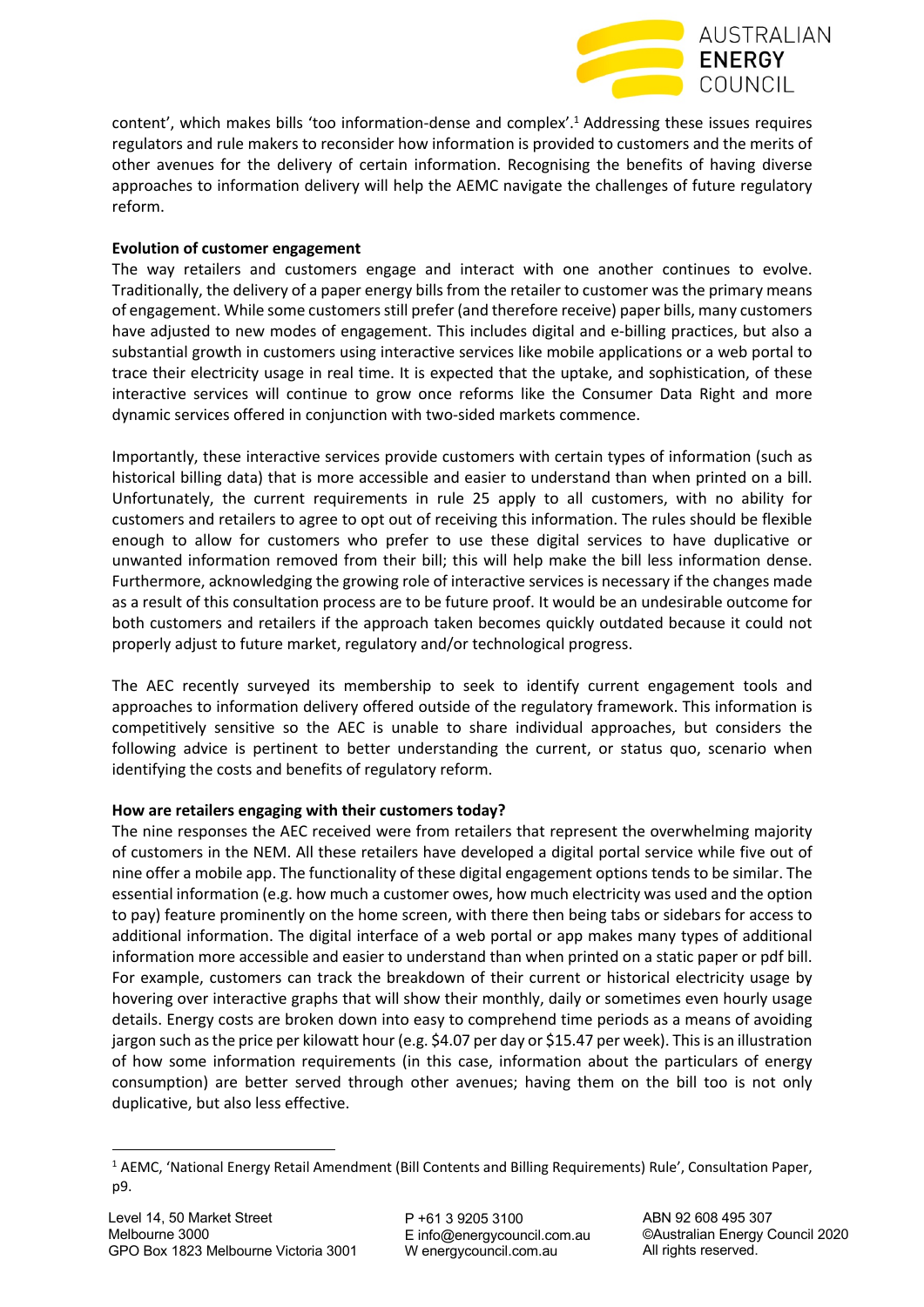

content', which makes bills 'too information-dense and complex'.1 Addressing these issues requires regulators and rule makers to reconsider how information is provided to customers and the merits of other avenues for the delivery of certain information. Recognising the benefits of having diverse approaches to information delivery will help the AEMC navigate the challenges of future regulatory reform.

# **Evolution of customer engagement**

The way retailers and customers engage and interact with one another continues to evolve. Traditionally, the delivery of a paper energy bills from the retailer to customer was the primary means of engagement. While some customers still prefer (and therefore receive) paper bills, many customers have adjusted to new modes of engagement. This includes digital and e-billing practices, but also a substantial growth in customers using interactive services like mobile applications or a web portal to trace their electricity usage in real time. It is expected that the uptake, and sophistication, of these interactive services will continue to grow once reforms like the Consumer Data Right and more dynamic services offered in conjunction with two-sided markets commence.

Importantly, these interactive services provide customers with certain types of information (such as historical billing data) that is more accessible and easier to understand than when printed on a bill. Unfortunately, the current requirements in rule 25 apply to all customers, with no ability for customers and retailers to agree to opt out of receiving this information. The rules should be flexible enough to allow for customers who prefer to use these digital services to have duplicative or unwanted information removed from their bill; this will help make the bill less information dense. Furthermore, acknowledging the growing role of interactive services is necessary if the changes made as a result of this consultation process are to be future proof. It would be an undesirable outcome for both customers and retailers if the approach taken becomes quickly outdated because it could not properly adjust to future market, regulatory and/or technological progress.

The AEC recently surveyed its membership to seek to identify current engagement tools and approaches to information delivery offered outside of the regulatory framework. This information is competitively sensitive so the AEC is unable to share individual approaches, but considers the following advice is pertinent to better understanding the current, or status quo, scenario when identifying the costs and benefits of regulatory reform.

# **How are retailers engaging with their customers today?**

The nine responses the AEC received were from retailers that represent the overwhelming majority of customers in the NEM. All these retailers have developed a digital portal service while five out of nine offer a mobile app. The functionality of these digital engagement options tends to be similar. The essential information (e.g. how much a customer owes, how much electricity was used and the option to pay) feature prominently on the home screen, with there then being tabs or sidebars for access to additional information. The digital interface of a web portal or app makes many types of additional information more accessible and easier to understand than when printed on a static paper or pdf bill. For example, customers can track the breakdown of their current or historical electricity usage by hovering over interactive graphs that will show their monthly, daily or sometimes even hourly usage details. Energy costs are broken down into easy to comprehend time periods as a means of avoiding jargon such as the price per kilowatt hour (e.g. \$4.07 per day or \$15.47 per week). This is an illustration of how some information requirements (in this case, information about the particulars of energy consumption) are better served through other avenues; having them on the bill too is not only duplicative, but also less effective.

 $1$  AEMC, 'National Energy Retail Amendment (Bill Contents and Billing Requirements) Rule', Consultation Paper, p9.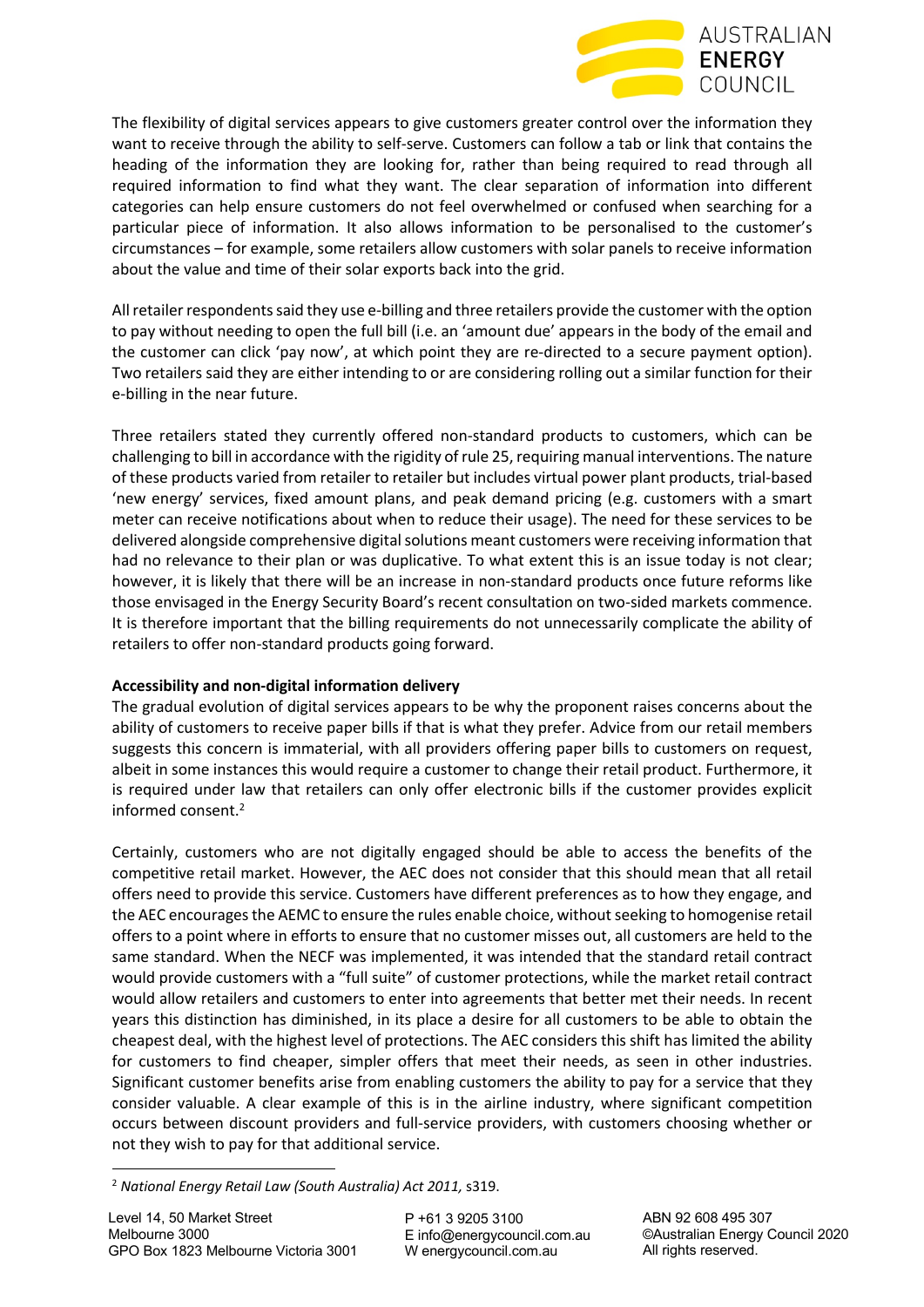

The flexibility of digital services appears to give customers greater control over the information they want to receive through the ability to self-serve. Customers can follow a tab or link that contains the heading of the information they are looking for, rather than being required to read through all required information to find what they want. The clear separation of information into different categories can help ensure customers do not feel overwhelmed or confused when searching for a particular piece of information. It also allows information to be personalised to the customer's circumstances – for example, some retailers allow customers with solar panels to receive information about the value and time of their solar exports back into the grid.

All retailer respondentssaid they use e-billing and three retailers provide the customer with the option to pay without needing to open the full bill (i.e. an 'amount due' appears in the body of the email and the customer can click 'pay now', at which point they are re-directed to a secure payment option). Two retailers said they are either intending to or are considering rolling out a similar function for their e-billing in the near future.

Three retailers stated they currently offered non-standard products to customers, which can be challenging to bill in accordance with the rigidity of rule 25, requiring manual interventions. The nature of these products varied from retailer to retailer but includes virtual power plant products, trial-based 'new energy' services, fixed amount plans, and peak demand pricing (e.g. customers with a smart meter can receive notifications about when to reduce their usage). The need for these services to be delivered alongside comprehensive digital solutions meant customers were receiving information that had no relevance to their plan or was duplicative. To what extent this is an issue today is not clear; however, it is likely that there will be an increase in non-standard products once future reforms like those envisaged in the Energy Security Board's recent consultation on two-sided markets commence. It is therefore important that the billing requirements do not unnecessarily complicate the ability of retailers to offer non-standard products going forward.

# **Accessibility and non-digital information delivery**

The gradual evolution of digital services appears to be why the proponent raises concerns about the ability of customers to receive paper bills if that is what they prefer. Advice from our retail members suggests this concern is immaterial, with all providers offering paper bills to customers on request, albeit in some instances this would require a customer to change their retail product. Furthermore, it is required under law that retailers can only offer electronic bills if the customer provides explicit informed consent. 2

Certainly, customers who are not digitally engaged should be able to access the benefits of the competitive retail market. However, the AEC does not consider that this should mean that all retail offers need to provide this service. Customers have different preferences as to how they engage, and the AEC encourages the AEMC to ensure the rules enable choice, without seeking to homogenise retail offers to a point where in efforts to ensure that no customer misses out, all customers are held to the same standard. When the NECF was implemented, it was intended that the standard retail contract would provide customers with a "full suite" of customer protections, while the market retail contract would allow retailers and customers to enter into agreements that better met their needs. In recent years this distinction has diminished, in its place a desire for all customers to be able to obtain the cheapest deal, with the highest level of protections. The AEC considers this shift has limited the ability for customers to find cheaper, simpler offers that meet their needs, as seen in other industries. Significant customer benefits arise from enabling customers the ability to pay for a service that they consider valuable. A clear example of this is in the airline industry, where significant competition occurs between discount providers and full-service providers, with customers choosing whether or not they wish to pay for that additional service.

<sup>2</sup> *National Energy Retail Law (South Australia) Act 2011,* s319.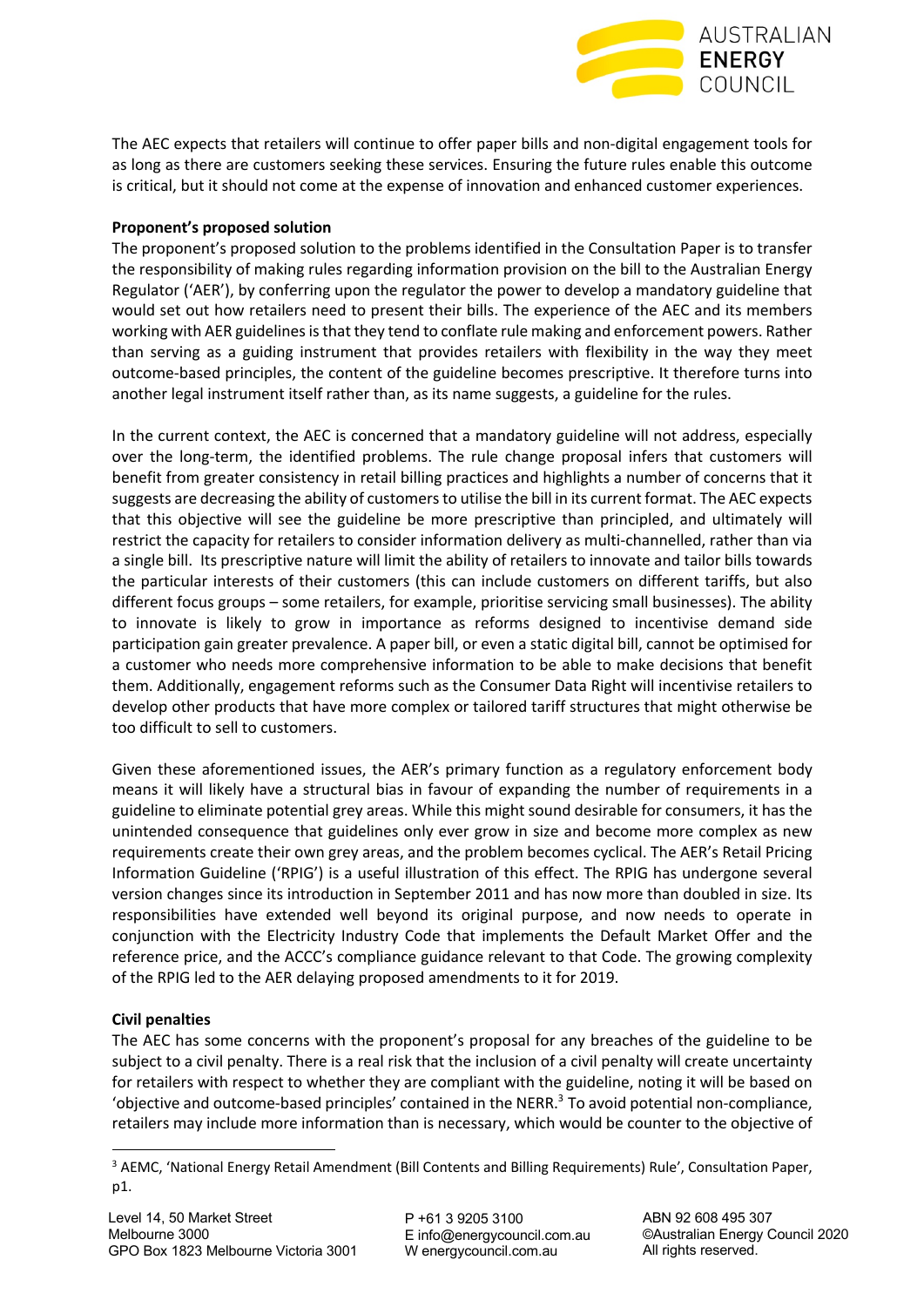

The AEC expects that retailers will continue to offer paper bills and non-digital engagement tools for as long as there are customers seeking these services. Ensuring the future rules enable this outcome is critical, but it should not come at the expense of innovation and enhanced customer experiences.

#### **Proponent's proposed solution**

The proponent's proposed solution to the problems identified in the Consultation Paper is to transfer the responsibility of making rules regarding information provision on the bill to the Australian Energy Regulator ('AER'), by conferring upon the regulator the power to develop a mandatory guideline that would set out how retailers need to present their bills. The experience of the AEC and its members working with AER guidelines is that they tend to conflate rule making and enforcement powers. Rather than serving as a guiding instrument that provides retailers with flexibility in the way they meet outcome-based principles, the content of the guideline becomes prescriptive. It therefore turns into another legal instrument itself rather than, as its name suggests, a guideline for the rules.

In the current context, the AEC is concerned that a mandatory guideline will not address, especially over the long-term, the identified problems. The rule change proposal infers that customers will benefit from greater consistency in retail billing practices and highlights a number of concerns that it suggests are decreasing the ability of customers to utilise the bill in its current format. The AEC expects that this objective will see the guideline be more prescriptive than principled, and ultimately will restrict the capacity for retailers to consider information delivery as multi-channelled, rather than via a single bill. Its prescriptive nature will limit the ability of retailers to innovate and tailor bills towards the particular interests of their customers (this can include customers on different tariffs, but also different focus groups – some retailers, for example, prioritise servicing small businesses). The ability to innovate is likely to grow in importance as reforms designed to incentivise demand side participation gain greater prevalence. A paper bill, or even a static digital bill, cannot be optimised for a customer who needs more comprehensive information to be able to make decisions that benefit them. Additionally, engagement reforms such as the Consumer Data Right will incentivise retailers to develop other products that have more complex or tailored tariff structures that might otherwise be too difficult to sell to customers.

Given these aforementioned issues, the AER's primary function as a regulatory enforcement body means it will likely have a structural bias in favour of expanding the number of requirements in a guideline to eliminate potential grey areas. While this might sound desirable for consumers, it has the unintended consequence that guidelines only ever grow in size and become more complex as new requirements create their own grey areas, and the problem becomes cyclical. The AER's Retail Pricing Information Guideline ('RPIG') is a useful illustration of this effect. The RPIG has undergone several version changes since its introduction in September 2011 and has now more than doubled in size. Its responsibilities have extended well beyond its original purpose, and now needs to operate in conjunction with the Electricity Industry Code that implements the Default Market Offer and the reference price, and the ACCC's compliance guidance relevant to that Code. The growing complexity of the RPIG led to the AER delaying proposed amendments to it for 2019.

#### **Civil penalties**

The AEC has some concerns with the proponent's proposal for any breaches of the guideline to be subject to a civil penalty. There is a real risk that the inclusion of a civil penalty will create uncertainty for retailers with respect to whether they are compliant with the guideline, noting it will be based on 'objective and outcome-based principles' contained in the NERR. $3$  To avoid potential non-compliance, retailers may include more information than is necessary, which would be counter to the objective of

<sup>3</sup> AEMC, 'National Energy Retail Amendment (Bill Contents and Billing Requirements) Rule', Consultation Paper, p1.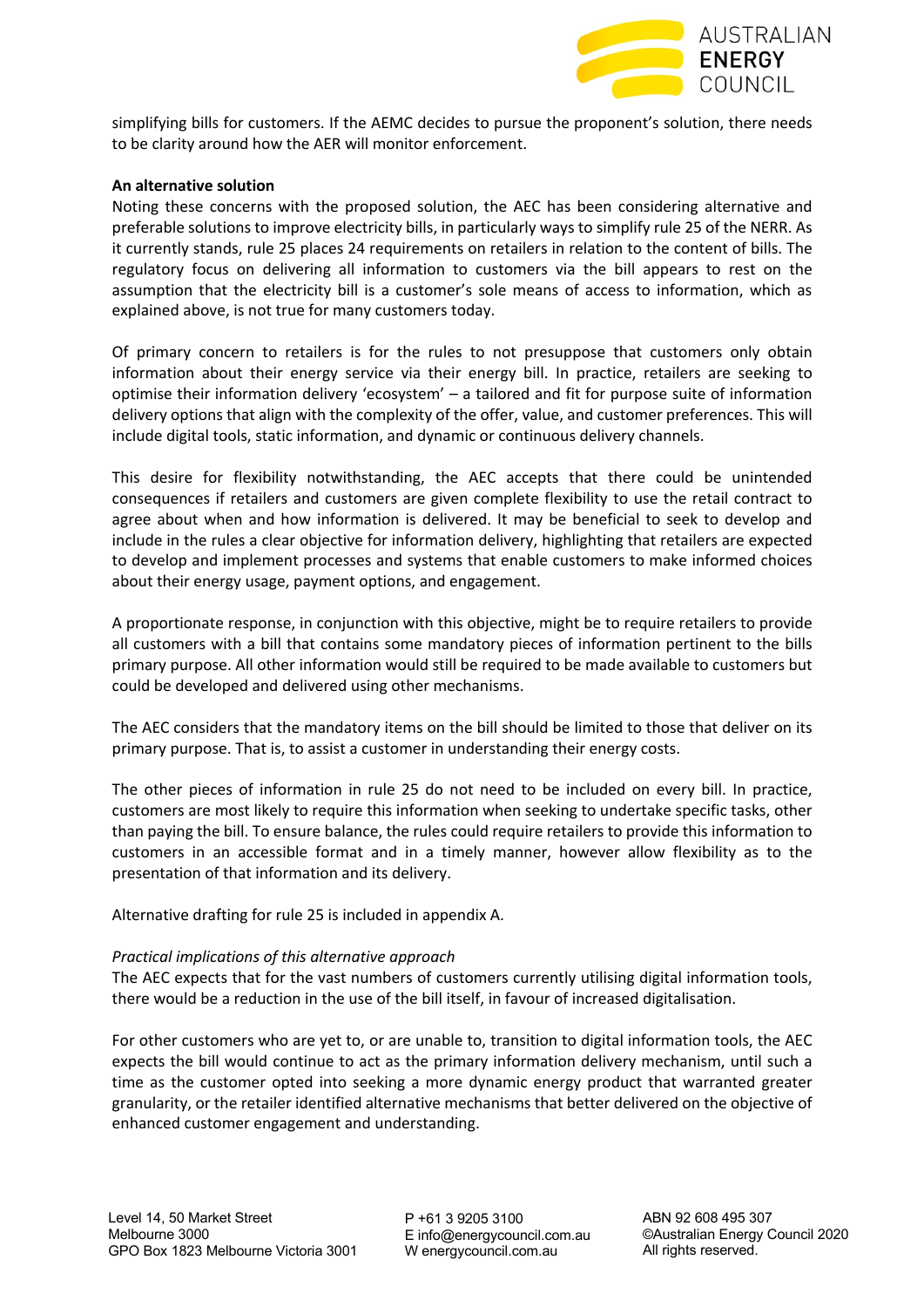

simplifying bills for customers. If the AEMC decides to pursue the proponent's solution, there needs to be clarity around how the AER will monitor enforcement.

#### **An alternative solution**

Noting these concerns with the proposed solution, the AEC has been considering alternative and preferable solutions to improve electricity bills, in particularly ways to simplify rule 25 of the NERR. As it currently stands, rule 25 places 24 requirements on retailers in relation to the content of bills. The regulatory focus on delivering all information to customers via the bill appears to rest on the assumption that the electricity bill is a customer's sole means of access to information, which as explained above, is not true for many customers today.

Of primary concern to retailers is for the rules to not presuppose that customers only obtain information about their energy service via their energy bill. In practice, retailers are seeking to optimise their information delivery 'ecosystem' – a tailored and fit for purpose suite of information delivery options that align with the complexity of the offer, value, and customer preferences. This will include digital tools, static information, and dynamic or continuous delivery channels.

This desire for flexibility notwithstanding, the AEC accepts that there could be unintended consequences if retailers and customers are given complete flexibility to use the retail contract to agree about when and how information is delivered. It may be beneficial to seek to develop and include in the rules a clear objective for information delivery, highlighting that retailers are expected to develop and implement processes and systems that enable customers to make informed choices about their energy usage, payment options, and engagement.

A proportionate response, in conjunction with this objective, might be to require retailers to provide all customers with a bill that contains some mandatory pieces of information pertinent to the bills primary purpose. All other information would still be required to be made available to customers but could be developed and delivered using other mechanisms.

The AEC considers that the mandatory items on the bill should be limited to those that deliver on its primary purpose. That is, to assist a customer in understanding their energy costs.

The other pieces of information in rule 25 do not need to be included on every bill. In practice, customers are most likely to require this information when seeking to undertake specific tasks, other than paying the bill. To ensure balance, the rules could require retailers to provide this information to customers in an accessible format and in a timely manner, however allow flexibility as to the presentation of that information and its delivery.

Alternative drafting for rule 25 is included in appendix A.

#### *Practical implications of this alternative approach*

The AEC expects that for the vast numbers of customers currently utilising digital information tools, there would be a reduction in the use of the bill itself, in favour of increased digitalisation.

For other customers who are yet to, or are unable to, transition to digital information tools, the AEC expects the bill would continue to act as the primary information delivery mechanism, until such a time as the customer opted into seeking a more dynamic energy product that warranted greater granularity, or the retailer identified alternative mechanisms that better delivered on the objective of enhanced customer engagement and understanding.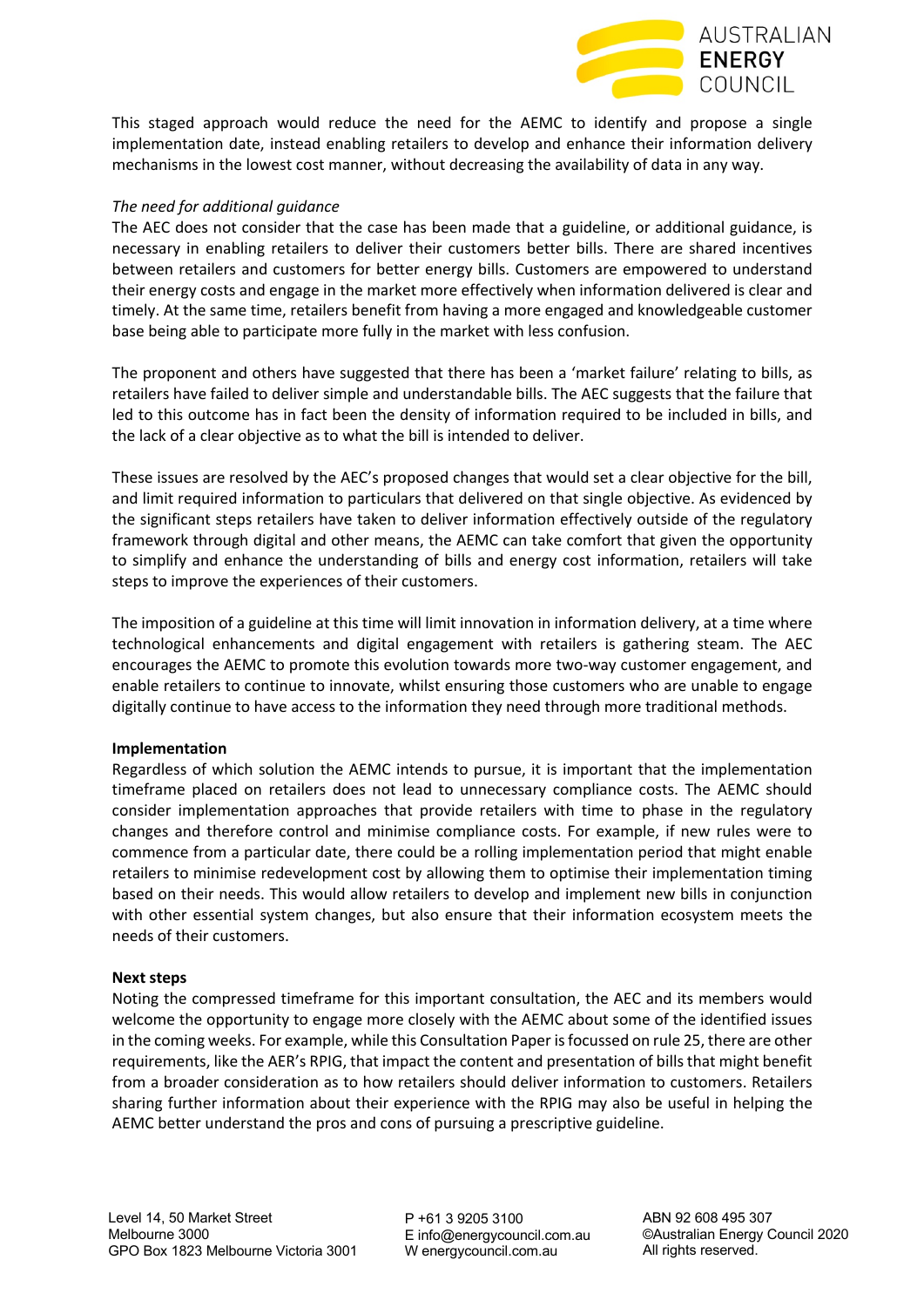

This staged approach would reduce the need for the AEMC to identify and propose a single implementation date, instead enabling retailers to develop and enhance their information delivery mechanisms in the lowest cost manner, without decreasing the availability of data in any way.

#### *The need for additional guidance*

The AEC does not consider that the case has been made that a guideline, or additional guidance, is necessary in enabling retailers to deliver their customers better bills. There are shared incentives between retailers and customers for better energy bills. Customers are empowered to understand their energy costs and engage in the market more effectively when information delivered is clear and timely. At the same time, retailers benefit from having a more engaged and knowledgeable customer base being able to participate more fully in the market with less confusion.

The proponent and others have suggested that there has been a 'market failure' relating to bills, as retailers have failed to deliver simple and understandable bills. The AEC suggests that the failure that led to this outcome has in fact been the density of information required to be included in bills, and the lack of a clear objective as to what the bill is intended to deliver.

These issues are resolved by the AEC's proposed changes that would set a clear objective for the bill, and limit required information to particulars that delivered on that single objective. As evidenced by the significant steps retailers have taken to deliver information effectively outside of the regulatory framework through digital and other means, the AEMC can take comfort that given the opportunity to simplify and enhance the understanding of bills and energy cost information, retailers will take steps to improve the experiences of their customers.

The imposition of a guideline at this time will limit innovation in information delivery, at a time where technological enhancements and digital engagement with retailers is gathering steam. The AEC encourages the AEMC to promote this evolution towards more two-way customer engagement, and enable retailers to continue to innovate, whilst ensuring those customers who are unable to engage digitally continue to have access to the information they need through more traditional methods.

#### **Implementation**

Regardless of which solution the AEMC intends to pursue, it is important that the implementation timeframe placed on retailers does not lead to unnecessary compliance costs. The AEMC should consider implementation approaches that provide retailers with time to phase in the regulatory changes and therefore control and minimise compliance costs. For example, if new rules were to commence from a particular date, there could be a rolling implementation period that might enable retailers to minimise redevelopment cost by allowing them to optimise their implementation timing based on their needs. This would allow retailers to develop and implement new bills in conjunction with other essential system changes, but also ensure that their information ecosystem meets the needs of their customers.

#### **Next steps**

Noting the compressed timeframe for this important consultation, the AEC and its members would welcome the opportunity to engage more closely with the AEMC about some of the identified issues in the coming weeks. For example, while this Consultation Paper is focussed on rule 25, there are other requirements, like the AER's RPIG, that impact the content and presentation of bills that might benefit from a broader consideration as to how retailers should deliver information to customers. Retailers sharing further information about their experience with the RPIG may also be useful in helping the AEMC better understand the pros and cons of pursuing a prescriptive guideline.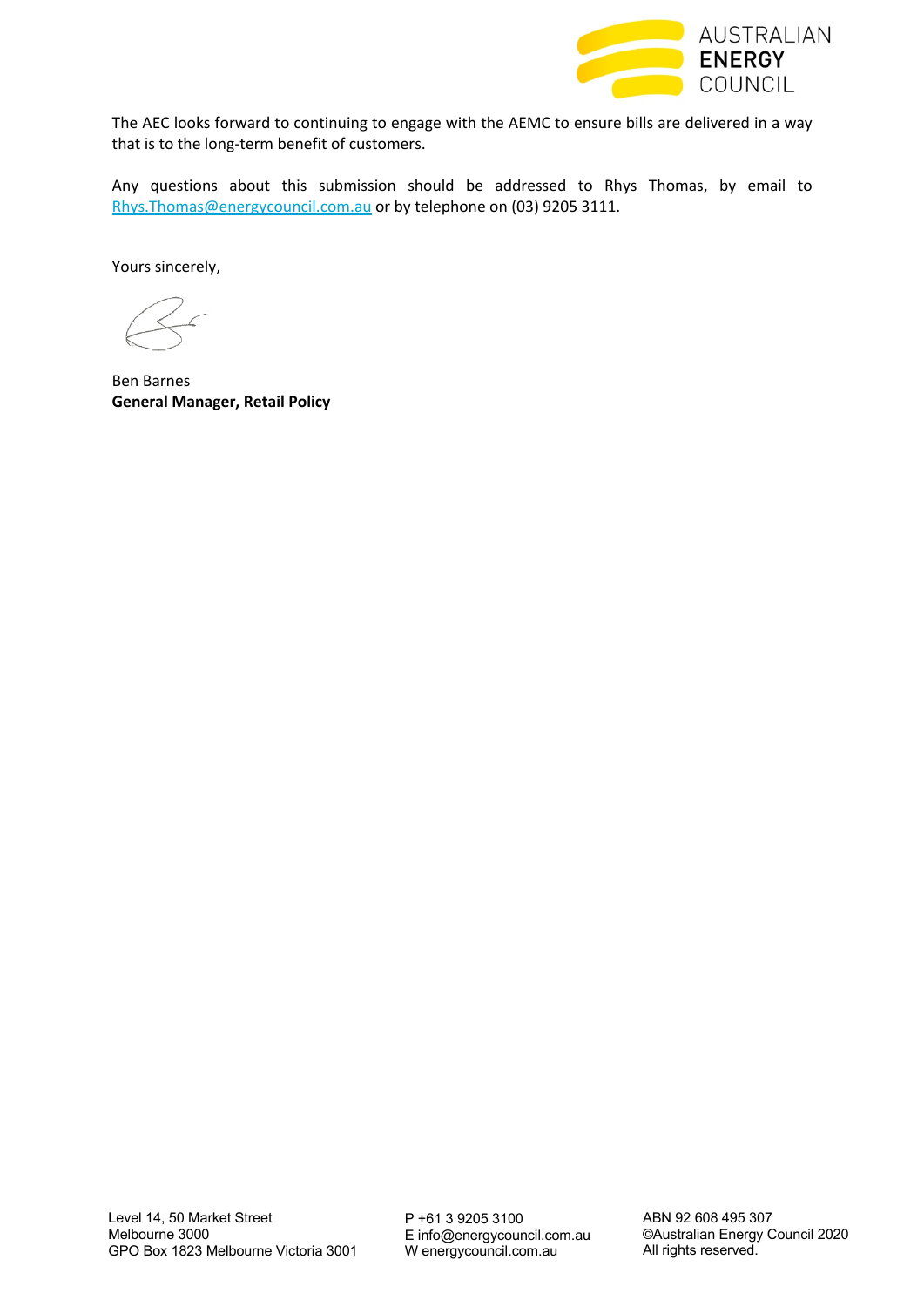

The AEC looks forward to continuing to engage with the AEMC to ensure bills are delivered in a way that is to the long-term benefit of customers.

Any questions about this submission should be addressed to Rhys Thomas, by email to Rhys. Thomas@energycouncil.com.au or by telephone on (03) 9205 3111.

Yours sincerely,

Ben Barnes **General Manager, Retail Policy**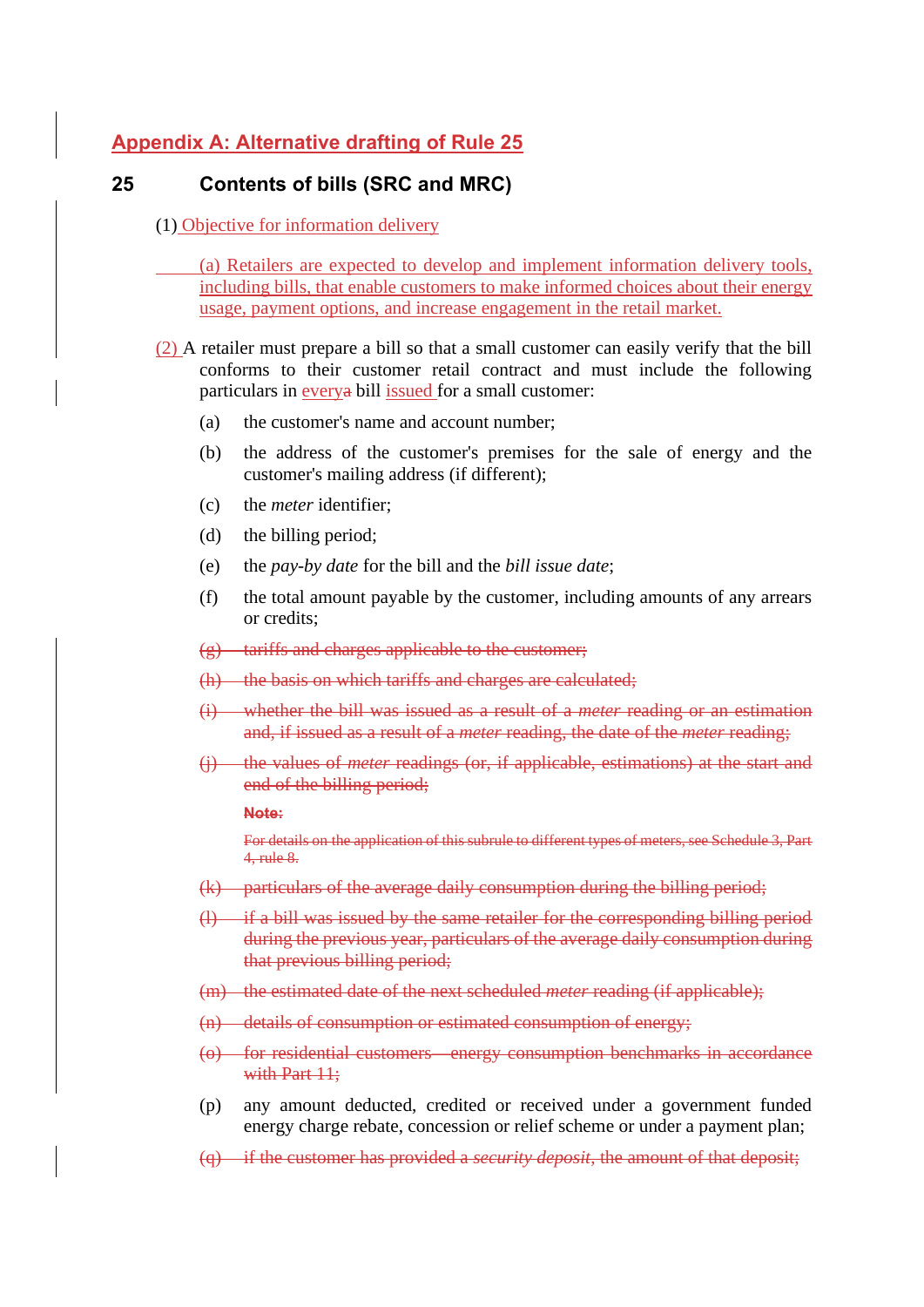# **Appendix A: Alternative drafting of Rule 25**

# **25 Contents of bills (SRC and MRC)**

(1) Objective for information delivery

(a) Retailers are expected to develop and implement information delivery tools, including bills, that enable customers to make informed choices about their energy usage, payment options, and increase engagement in the retail market.

- (2) A retailer must prepare a bill so that a small customer can easily verify that the bill conforms to their customer retail contract and must include the following particulars in everya bill issued for a small customer:
	- (a) the customer's name and account number;
	- (b) the address of the customer's premises for the sale of energy and the customer's mailing address (if different);
	- (c) the *meter* identifier;
	- (d) the billing period;
	- (e) the *pay-by date* for the bill and the *bill issue date*;
	- (f) the total amount payable by the customer, including amounts of any arrears or credits;
	- $(g)$  tariffs and charges applicable to the customer;
	- (h) the basis on which tariffs and charges are calculated;
	- (i) whether the bill was issued as a result of a *meter* reading or an estimation and, if issued as a result of a *meter* reading, the date of the *meter* reading;
	- (j) the values of *meter* readings (or, if applicable, estimations) at the start and end of the billing period;

#### **Note:**

For details on the application of this subrule to different types of meters, see Schedule 3, Part 4, rule 8.

- (k) particulars of the average daily consumption during the billing period;
- (l) if a bill was issued by the same retailer for the corresponding billing period during the previous year, particulars of the average daily consumption during that previous billing period;
- (m) the estimated date of the next scheduled *meter* reading (if applicable);
- (n) details of consumption or estimated consumption of energy;
- (o) for residential customers—energy consumption benchmarks in accordance with Part 11:
- (p) any amount deducted, credited or received under a government funded energy charge rebate, concession or relief scheme or under a payment plan;
- (q) if the customer has provided a *security deposit*, the amount of that deposit;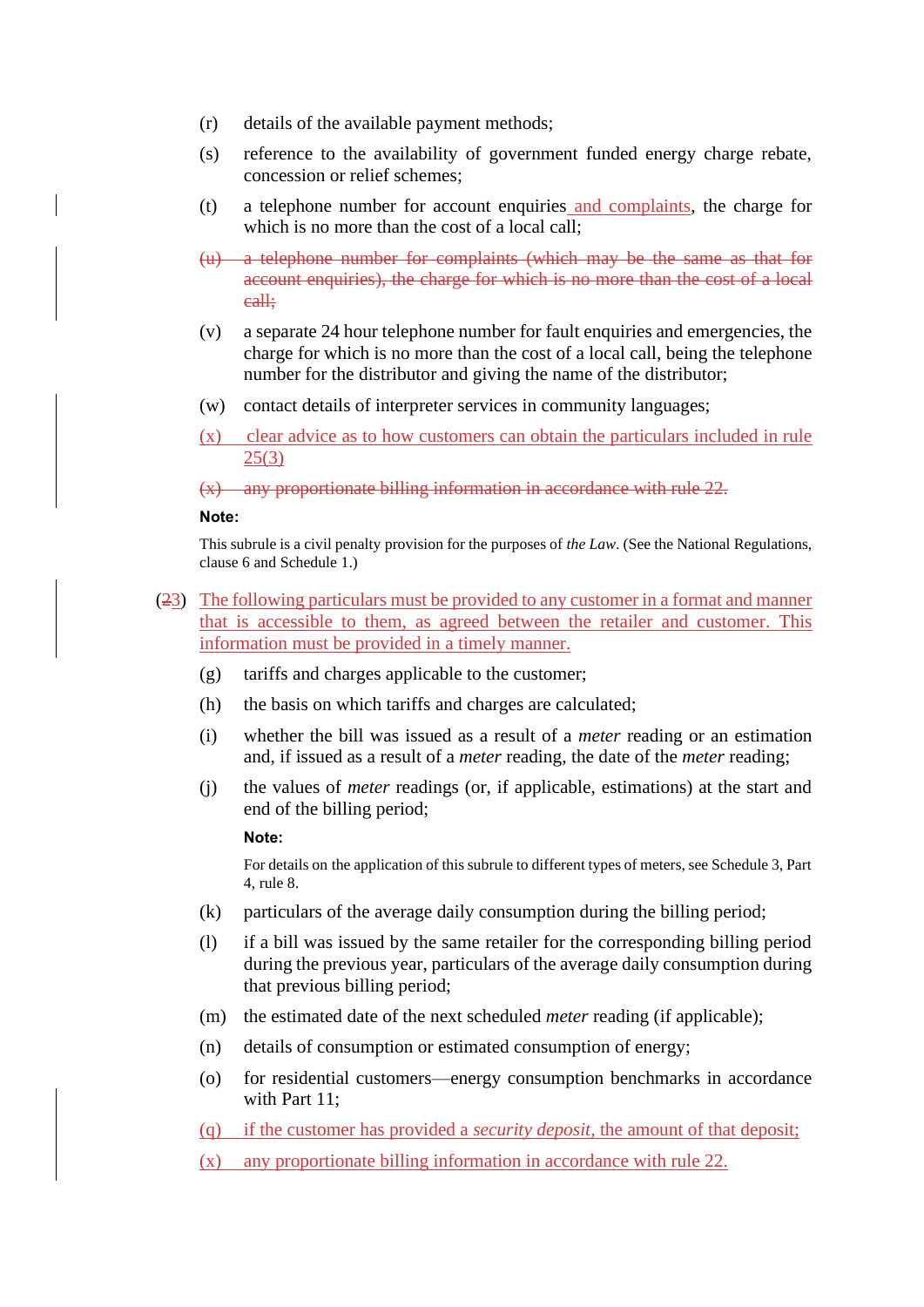- (r) details of the available payment methods;
- (s) reference to the availability of government funded energy charge rebate, concession or relief schemes;
- (t) a telephone number for account enquiries and complaints, the charge for which is no more than the cost of a local call;
- (u) a telephone number for complaints (which may be the same as that for account enquiries), the charge for which is no more than the cost of a local call;
- (v) a separate 24 hour telephone number for fault enquiries and emergencies, the charge for which is no more than the cost of a local call, being the telephone number for the distributor and giving the name of the distributor;
- (w) contact details of interpreter services in community languages;
- (x) clear advice as to how customers can obtain the particulars included in rule 25(3)

(x) any proportionate billing information in accordance with rule 22.

#### **Note:**

This subrule is a civil penalty provision for the purposes of *the Law*. (See the National Regulations, clause 6 and Schedule 1.)

- (23) The following particulars must be provided to any customer in a format and manner that is accessible to them, as agreed between the retailer and customer. This information must be provided in a timely manner.
	- (g) tariffs and charges applicable to the customer;
	- (h) the basis on which tariffs and charges are calculated;
	- (i) whether the bill was issued as a result of a *meter* reading or an estimation and, if issued as a result of a *meter* reading, the date of the *meter* reading;
	- (j) the values of *meter* readings (or, if applicable, estimations) at the start and end of the billing period;

#### **Note:**

For details on the application of this subrule to different types of meters, see Schedule 3, Part 4, rule 8.

- (k) particulars of the average daily consumption during the billing period;
- (l) if a bill was issued by the same retailer for the corresponding billing period during the previous year, particulars of the average daily consumption during that previous billing period;
- (m) the estimated date of the next scheduled *meter* reading (if applicable);
- (n) details of consumption or estimated consumption of energy;
- (o) for residential customers—energy consumption benchmarks in accordance with Part 11:
- (q) if the customer has provided a *security deposit*, the amount of that deposit;
- (x) any proportionate billing information in accordance with rule 22.